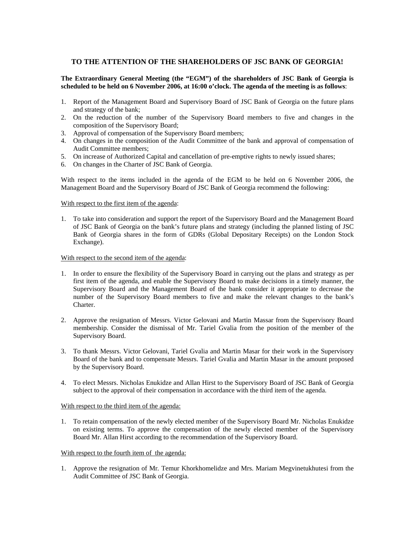# **TO THE ATTENTION OF THE SHAREHOLDERS OF JSC BANK OF GEORGIA!**

### **The Extraordinary General Meeting (the "EGM") of the shareholders of JSC Bank of Georgia is scheduled to be held on 6 November 2006, at 16:00 o'clock. The agenda of the meeting is as follows**:

- 1. Report of the Management Board and Supervisory Board of JSC Bank of Georgia on the future plans and strategy of the bank;
- 2. On the reduction of the number of the Supervisory Board members to five and changes in the composition of the Supervisory Board;
- 3. Approval of compensation of the Supervisory Board members;
- 4. On changes in the composition of the Audit Committee of the bank and approval of compensation of Audit Committee members;
- 5. On increase of Authorized Capital and cancellation of pre-emptive rights to newly issued shares;
- 6. On changes in the Charter of JSC Bank of Georgia.

With respect to the items included in the agenda of the EGM to be held on 6 November 2006, the Management Board and the Supervisory Board of JSC Bank of Georgia recommend the following:

#### With respect to the first item of the agenda:

1. To take into consideration and support the report of the Supervisory Board and the Management Board of JSC Bank of Georgia on the bank's future plans and strategy (including the planned listing of JSC Bank of Georgia shares in the form of GDRs (Global Depositary Receipts) on the London Stock Exchange).

### With respect to the second item of the agenda:

- 1. In order to ensure the flexibility of the Supervisory Board in carrying out the plans and strategy as per first item of the agenda, and enable the Supervisory Board to make decisions in a timely manner, the Supervisory Board and the Management Board of the bank consider it appropriate to decrease the number of the Supervisory Board members to five and make the relevant changes to the bank's Charter.
- 2. Approve the resignation of Messrs. Victor Gelovani and Martin Massar from the Supervisory Board membership. Consider the dismissal of Mr. Tariel Gvalia from the position of the member of the Supervisory Board.
- 3. To thank Messrs. Victor Gelovani, Tariel Gvalia and Martin Masar for their work in the Supervisory Board of the bank and to compensate Messrs. Tariel Gvalia and Martin Masar in the amount proposed by the Supervisory Board.
- 4. To elect Messrs. Nicholas Enukidze and Allan Hirst to the Supervisory Board of JSC Bank of Georgia subject to the approval of their compensation in accordance with the third item of the agenda.

#### With respect to the third item of the agenda:

1. To retain compensation of the newly elected member of the Supervisory Board Mr. Nicholas Enukidze on existing terms. To approve the compensation of the newly elected member of the Supervisory Board Mr. Allan Hirst according to the recommendation of the Supervisory Board.

#### With respect to the fourth item of the agenda:

1. Approve the resignation of Mr*.* Temur Khorkhomelidze and Mrs. Mariam Megvinetukhutesi from the Audit Committee of JSC Bank of Georgia.